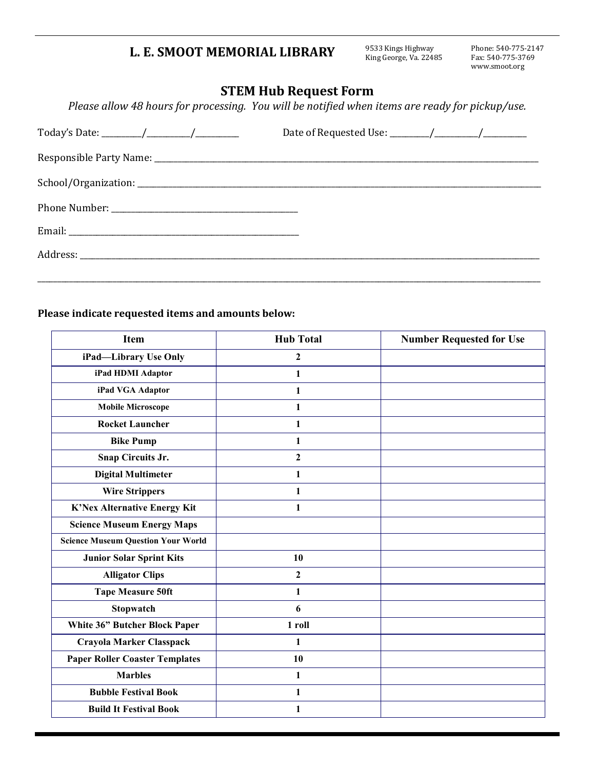## **L. E. SMOOT MEMORIAL LIBRARY**

9533 Kings Highway<br>King George, Va. 22485

Phone: 540-775-2147 Fax: 540-775-3769 www.smoot.org

## **STEM Hub Request Form**

*Please allow 48 hours for processing. You will be notified when items are ready for pickup/use.*

## **Please indicate requested items and amounts below:**

| <b>Item</b>                               | <b>Hub Total</b> | <b>Number Requested for Use</b> |
|-------------------------------------------|------------------|---------------------------------|
| iPad-Library Use Only                     | $\mathbf{2}$     |                                 |
| iPad HDMI Adaptor                         | 1                |                                 |
| iPad VGA Adaptor                          | 1                |                                 |
| <b>Mobile Microscope</b>                  | 1                |                                 |
| <b>Rocket Launcher</b>                    | 1                |                                 |
| <b>Bike Pump</b>                          | 1                |                                 |
| Snap Circuits Jr.                         | $\mathbf{2}$     |                                 |
| <b>Digital Multimeter</b>                 | 1                |                                 |
| <b>Wire Strippers</b>                     | 1                |                                 |
| K'Nex Alternative Energy Kit              | $\mathbf{1}$     |                                 |
| <b>Science Museum Energy Maps</b>         |                  |                                 |
| <b>Science Museum Question Your World</b> |                  |                                 |
| <b>Junior Solar Sprint Kits</b>           | 10               |                                 |
| <b>Alligator Clips</b>                    | $\mathbf{2}$     |                                 |
| <b>Tape Measure 50ft</b>                  | 1                |                                 |
| Stopwatch                                 | 6                |                                 |
| White 36" Butcher Block Paper             | 1 roll           |                                 |
| Crayola Marker Classpack                  | 1                |                                 |
| <b>Paper Roller Coaster Templates</b>     | 10               |                                 |
| <b>Marbles</b>                            | 1                |                                 |
| <b>Bubble Festival Book</b>               | 1                |                                 |
| <b>Build It Festival Book</b>             | 1                |                                 |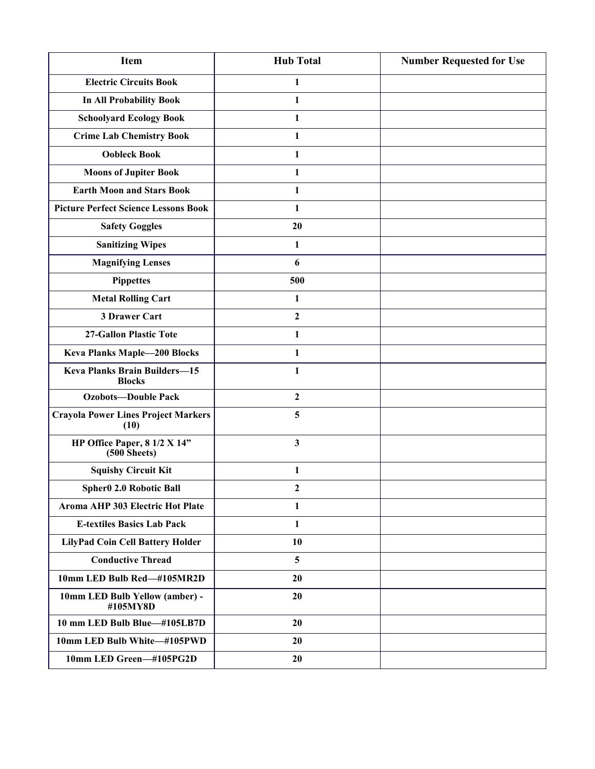| <b>Item</b>                                           | <b>Hub Total</b> | <b>Number Requested for Use</b> |
|-------------------------------------------------------|------------------|---------------------------------|
| <b>Electric Circuits Book</b>                         | 1                |                                 |
| <b>In All Probability Book</b>                        | 1                |                                 |
| <b>Schoolyard Ecology Book</b>                        | 1                |                                 |
| <b>Crime Lab Chemistry Book</b>                       | 1                |                                 |
| <b>Oobleck Book</b>                                   | 1                |                                 |
| <b>Moons of Jupiter Book</b>                          | $\mathbf{1}$     |                                 |
| <b>Earth Moon and Stars Book</b>                      | 1                |                                 |
| <b>Picture Perfect Science Lessons Book</b>           | 1                |                                 |
| <b>Safety Goggles</b>                                 | 20               |                                 |
| <b>Sanitizing Wipes</b>                               | 1                |                                 |
| <b>Magnifying Lenses</b>                              | 6                |                                 |
| <b>Pippettes</b>                                      | 500              |                                 |
| <b>Metal Rolling Cart</b>                             | 1                |                                 |
| 3 Drawer Cart                                         | $\mathbf{2}$     |                                 |
| 27-Gallon Plastic Tote                                | 1                |                                 |
| <b>Keva Planks Maple-200 Blocks</b>                   | 1                |                                 |
| <b>Keva Planks Brain Builders-15</b><br><b>Blocks</b> | 1                |                                 |
| <b>Ozobots-Double Pack</b>                            | $\mathbf{2}$     |                                 |
| <b>Crayola Power Lines Project Markers</b><br>(10)    | 5                |                                 |
| HP Office Paper, 8 1/2 X 14"<br>$(500$ Sheets)        | $\mathbf{3}$     |                                 |
| <b>Squishy Circuit Kit</b>                            | $\mathbf{1}$     |                                 |
| Spher0 2.0 Robotic Ball                               | $\boldsymbol{2}$ |                                 |
| Aroma AHP 303 Electric Hot Plate                      | 1                |                                 |
| <b>E-textiles Basics Lab Pack</b>                     | $\mathbf{1}$     |                                 |
| LilyPad Coin Cell Battery Holder                      | 10               |                                 |
| <b>Conductive Thread</b>                              | 5                |                                 |
| 10mm LED Bulb Red-#105MR2D                            | 20               |                                 |
| 10mm LED Bulb Yellow (amber) -<br>#105MY8D            | 20               |                                 |
| 10 mm LED Bulb Blue-#105LB7D                          | 20               |                                 |
| 10mm LED Bulb White-#105PWD                           | 20               |                                 |
| 10mm LED Green-#105PG2D                               | 20               |                                 |